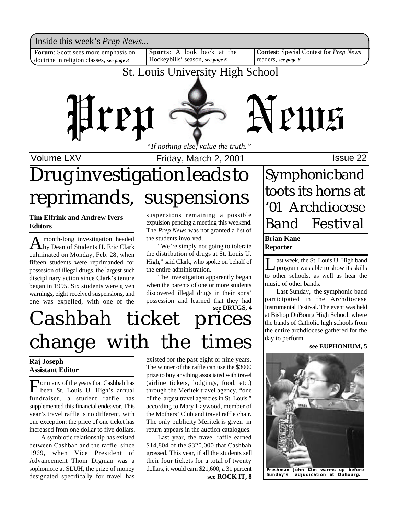Inside this week's *Prep News*...<br>Forum: Scott sees more emphasis on Sports: A look back at the Contest: Special Contest for *Prep News* 

**Forum**: Scott sees more emphasis on doctrine in religion classes, *see page 3*

**Sports**: A look back at the Hockeybills' season, *see page 5*

**Contest**: Special Contest for *Prep News* readers, *see page 8*

## St. Louis University High School



Volume LXV **Internal Controller Friday, March 2, 2001 Issue 22** 

# Drug investigation leads to reprimands, suspensions

**Tim Elfrink and Andrew Ivers Editors**

A month-long investigation headed<br>by Dean of Students H. Eric Clark month-long investigation headed culminated on Monday, Feb. 28, when fifteen students were reprimanded for possesion of illegal drugs, the largest such disciplinary action since Clark's tenure began in 1995. Six students were given warnings, eight received suspensions, and one was expelled, with one of the suspensions remaining a possible expulsion pending a meeting this weekend. The *Prep News* was not granted a list of the students involved.

"We're simply not going to tolerate the distribution of drugs at St. Louis U. High," said Clark, who spoke on behalf of the entire administration.

The investigation apparently began when the parents of one or more students discovered illegal drugs in their sons' possession and learned that they had

## **see DRUGS, 4** Cashbah ticket prices change with the times

### **Raj Joseph Assistant Editor**

For many of the years that Cashbah has<br>been St. Louis U. High's annual been St. Louis U. High's annual fundraiser, a student raffle has supplemented this financial endeavor. This year's travel raffle is no different, with one exception: the price of one ticket has increased from one dollar to five dollars.

A symbiotic relationship has existed between Cashbah and the raffle since 1969, when Vice President of Advancement Thom Digman was a sophomore at SLUH, the prize of money designated specifically for travel has existed for the past eight or nine years. The winner of the raffle can use the \$3000 prize to buy anything associated with travel (airline tickets, lodgings, food, etc.) through the Meritek travel agency, "one of the largest travel agencies in St. Louis," according to Mary Haywood, member of the Mothers' Club and travel raffle chair. The only publicity Meritek is given in return appears in the auction catalogues.

Last year, the travel raffle earned \$14,804 of the \$320,000 that Cashbah grossed. This year, if all the students sell their four tickets for a total of twenty dollars, it would earn \$21,600, a 31 percent **Freshman John Kim warms up before see ROCK IT, 8**

## Symphonic band toots its horns at '01 Archdiocese Band Festival

### **Brian Kane Reporter**

Let week, the St. Louis U. High band<br>program was able to show its skills<br>to other schools, as well as hear the ast week, the St. Louis U. High band program was able to show its skills music of other bands.

Last Sunday, the symphonic band participated in the Archdiocese Instrumental Festival. The event was held at Bishop DuBourg High School, where the bands of Catholic high schools from the entire archdiocese gathered for the day to perform.

### **see EUPHONIUM, 5**



adjudication at DuBourg.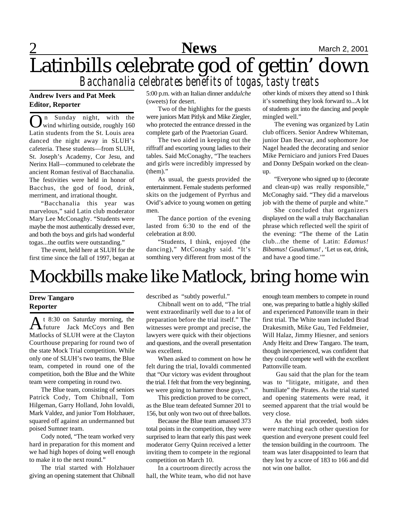

## **News** March 2, 2001 Latinbills celebrate god of gettin' down *Bacchanalia celebrates benefits of togas, tasty treats*

### **Andrew Ivers and Pat Meek Editor, Reporter**

**O** n Sunday night, with the wind whirling outside, roughly 160 n Sunday night, with the Latin students from the St. Louis area danced the night away in SLUH's cafeteria. These students—from SLUH, St. Joseph's Academy, Cor Jesu, and Nerinx Hall—communed to celebrate the ancient Roman festival of Bacchanalia. The festivities were held in honor of Bacchus, the god of food, drink, merriment, and irrational thought.

"Bacchanalia this year was marvelous," said Latin club moderator Mary Lee McConaghy. "Students were maybe the most authentically dressed ever, and both the boys and girls had wonderful togas...the outfits were outstanding."

The event, held here at SLUH for the first time since the fall of 1997, began at 5:00 p.m. with an Italian dinner and *dulche* (sweets) for desert.

Two of the highlights for the guests were juniors Matt Pitlyk and Mike Ziegler, who protected the entrance dressed in the complete garb of the Praetorian Guard.

The two aided in keeping out the riffraff and escorting young ladies to their tables. Said McConaghy, "The teachers and girls were incredibly impressed by (them)."

As usual, the guests provided the entertainment. Female students performed skits on the judgement of Pyrrhus and Ovid's advice to young women on getting men.

The dance portion of the evening lasted from 6:30 to the end of the celebration at 8:00.

"Students, I think, enjoyed (the dancing)," McConaghy said. "It's somthing very different from most of the other kinds of mixers they attend so I think it's something they look forward to...A lot of students got into the dancing and people mingled well."

The evening was organized by Latin club officers. Senior Andrew Whiteman, junior Dan Becvar, and sophomore Joe Nagel headed the decorating and senior Mike Perniciaro and juniors Fred Daues and Donny DeSpain worked on the cleanup.

"Everyone who signed up to (decorate and clean-up) was really responsible," McConaghy said. "They did a marvelous job with the theme of purple and white."

She concluded that organizers displayed on the wall a truly Bacchanalian phrase which reflected well the spirit of the evening: "The theme of the Latin club...the theme of Latin: *Edamus! Bibamus! Gaudiamus!* , 'Let us eat, drink, and have a good time.'"

# Mockbills make like Matlock, bring home win

### **Drew Tangaro Reporter**

A<sup>t 8:30</sup> on Saturday morning, the<br>future Jack McCoys and Ben future Jack McCoys and Ben Matlocks of SLUH were at the Clayton Courthouse preparing for round two of the state Mock Trial competition. While only one of SLUH's two teams, the Blue team, competed in round one of the competition, both the Blue and the White team were competing in round two.

The Blue team, consisting of seniors Patrick Cody, Tom Chibnall, Tom Hilgeman, Garry Holland, John Iovaldi, Mark Valdez, and junior Tom Holzhauer, squared off against an undermanned but poised Sumner team.

Cody noted, "The team worked very hard in preparation for this moment and we had high hopes of doing well enough to make it to the next round."

The trial started with Holzhauer giving an opening statement that Chibnall

described as "subtly powerful."

Chibnall went on to add, "The trial went extraordinarily well due to a lot of preparation before the trial itself." The witnesses were prompt and precise, the lawyers were quick with their objections and questions, and the overall presentation was excellent.

When asked to comment on how he felt during the trial, Iovaldi commented that "Our victory was evident throughout the trial. I felt that from the very beginning, we were going to hammer those guys."

This prediction proved to be correct, as the Blue team defeated Sumner 201 to 156, but only won two out of three ballots.

Because the Blue team amassed 373 total points in the competition, they were surprised to learn that early this past week moderator Gerry Quinn received a letter inviting them to compete in the regional competition on March 10.

In a courtroom directly across the hall, the White team, who did not have

enough team members to compete in round one, was preparing to battle a highly skilled and experienced Pattonville team in their first trial. The White team included Brad Drakesmith, Mike Gau, Ted Feldmeier, Will Halaz, Jimmy Hiesner, and seniors Andy Heitz and Drew Tangaro. The team, though inexperienced, was confident that they could compete well with the excellent Pattonville team.

 Gau said that the plan for the team was to "litigate, mitigate, and then humiliate" the Pirates. As the trial started and opening statements were read, it seemed apparent that the trial would be very close.

As the trial proceeded, both sides were matching each other question for question and everyone present could feel the tension building in the courtroom. The team was later disappointed to learn that they lost by a score of 183 to 166 and did not win one ballot.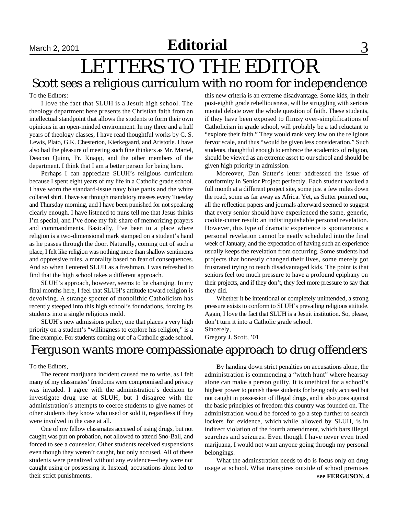## **Editorial** September 2, 2001 September 2000 November 2, 2001 September 3

## LETTERS TO THE EDITOR Scott sees a religious curriculum with no room for independence

### To the Editors:

I love the fact that SLUH is a Jesuit high school. The theology department here presents the Christian faith from an intellectual standpoint that allows the students to form their own opinions in an open-minded environment. In my three and a half years of theology classes, I have read thoughtful works by C. S. Lewis, Plato, G.K. Chesterton, Kierkegaard, and Aristotle. I have also had the pleasure of meeting such fine thinkers as Mr. Martel, Deacon Quinn, Fr. Knapp, and the other members of the department. I think that I am a better person for being here.

Perhaps I can appreciate SLUH's religious curriculum because I spent eight years of my life in a Catholic grade school. I have worn the standard-issue navy blue pants and the white collared shirt. I have sat through mandatory masses every Tuesday and Thursday morning, and I have been punished for not speaking clearly enough. I have listened to nuns tell me that Jesus thinks I'm special, and I've done my fair share of memorizing prayers and commandments. Basically, I've been to a place where religion is a two-dimensional mark stamped on a student's hand as he passes through the door. Naturally, coming out of such a place, I felt like religion was nothing more than shallow sentiments and oppressive rules, a morality based on fear of consequences. And so when I entered SLUH as a freshman, I was refreshed to find that the high school takes a different approach.

SLUH's approach, however, seems to be changing. In my final months here, I feel that SLUH's attitude toward religion is devolving. A strange specter of monolithic Catholicism has recently steeped into this high school's foundations, forcing its students into a single religious mold.

SLUH's new admissions policy, one that places a very high priority on a student's "willingness to explore his religion," is a fine example. For students coming out of a Catholic grade school, this new criteria is an extreme disadvantage. Some kids, in their post-eighth grade rebelliousness, will be struggling with serious mental debate over the whole question of faith. These students, if they have been exposed to flimsy over-simplifications of Catholicism in grade school, will probably be a tad reluctant to "explore their faith." They would rank very low on the religious fervor scale, and thus "would be given less consideration." Such students, thoughtful enough to embrace the academics of religion, should be viewed as an extreme asset to our school and should be given high priority in admission.

Moreover, Dan Sutter's letter addressed the issue of conformity in Senior Project perfectly. Each student worked a full month at a different project site, some just a few miles down the road, some as far away as Africa. Yet, as Sutter pointed out, all the reflection papers and journals afterward seemed to suggest that every senior should have experienced the same, generic, cookie-cutter result: an indistinguishable personal revelation. However, this type of dramatic experience is spontaneous; a personal revelation cannot be neatly scheduled into the final week of January, and the expectation of having such an experience usually keeps the revelation from occurring. Some students had projects that honestly changed their lives, some merely got frustrated trying to teach disadvantaged kids. The point is that seniors feel too much pressure to have a profound epiphany on their projects, and if they don't, they feel more pressure to say that they did.

Whether it be intentional or completely unintended, a strong pressure exists to conform to SLUH's prevailing religious attitude. Again, I love the fact that SLUH is a Jesuit institution. So, please, don't turn it into a Catholic grade school. Sincerely,

Gregory J. Scott, '01

## Ferguson wants more compassionate approach to drug offenders

### To the Editors,

The recent marijuana incident caused me to write, as I felt many of my classmates' freedoms were compromised and privacy was invaded. I agree with the administration's decision to investigate drug use at SLUH, but I disagree with the administration's attempts to coerce students to give names of other students they know who used or sold it, regardless if they were involved in the case at all.

One of my fellow classmates accused of using drugs, but not caught,was put on probation, not allowed to attend Sno-Ball, and forced to see a counselor. Other students received suspensions even though they weren't caught, but only accused. All of these students were penalized without any evidence—they were not caught using or possessing it. Instead, accusations alone led to their strict punishments.

By handing down strict penalties on accusations alone, the administration is commencing a "witch hunt" where hearsay alone can make a person guilty. It is unethical for a school's highest power to punish these students for being only accused but not caught in possession of illegal drugs, and it also goes against the basic principles of freedom this country was founded on. The administration would be forced to go a step further to search lockers for evidence, which while allowed by SLUH, is in indirect violation of the fourth amendment, which bars illegal searches and seizures. Even though I have never even tried marijuana, I would not want anyone going through my personal belongings.

What the adminstration needs to do is focus only on drug usage at school. What transpires outside of school premises **see FERGUSON, 4**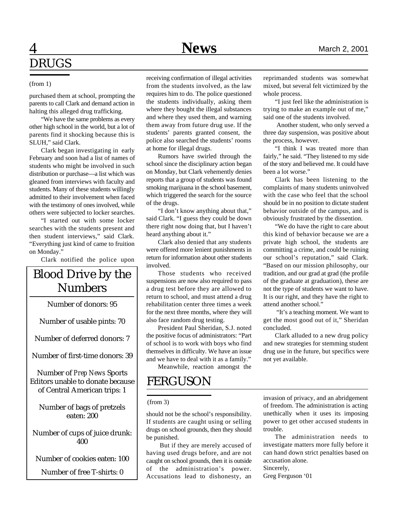## 4 **News** March 2, 2001 DRUGS

### (from 1)

purchased them at school, prompting the parents to call Clark and demand action in halting this alleged drug trafficking.

"We have the same problems as every other high school in the world, but a lot of parents find it shocking because this is SLUH," said Clark.

Clark began investigating in early February and soon had a list of names of students who might be involved in such distribution or purchase—a list which was gleaned from interviews with faculty and students. Many of these students willingly admitted to their involvement when faced with the testimony of ones involved, while others were subjected to locker searches.

"I started out with some locker searches with the students present and then student interviews," said Clark. "Everything just kind of came to fruition on Monday."

Clark notified the police upon

## Blood Drive by the Numbers

Number of donors: 95

Number of usable pints: 70

Number of deferred donors: 7

Number of first-time donors: 39

Number of *Prep News* Sports Editors unable to donate because of Central American trips: 1

Number of bags of pretzels eaten: 200

Number of cups of juice drunk: 400

Number of cookies eaten: 100

Number of free T-shirts: 0

receiving confirmation of illegal activities from the students involved, as the law requires him to do. The police questioned the students individually, asking them where they bought the illegal substances and where they used them, and warning them away from future drug use. If the students' parents granted consent, the police also searched the students' rooms at home for illegal drugs.

Rumors have swirled through the school since the disciplinary action began on Monday, but Clark vehemently denies reports that a group of students was found smoking marijuana in the school basement, which triggered the search for the source of the drugs.

"I don't know anything about that," said Clark. "I guess they could be down there right now doing that, but I haven't heard anything about it."

Clark also denied that any students were offered more lenient punishments in return for information about other students involved.

Those students who received suspensions are now also required to pass a drug test before they are allowed to return to school, and must attend a drug rehabilitation center three times a week for the next three months, where they will also face random drug testing.

President Paul Sheridan, S.J. noted the positive focus of administrators: "Part of school is to work with boys who find themselves in difficulty. We have an issue and we have to deal with it as a family." Meanwhile, reaction amongst the

reprimanded students was somewhat mixed, but several felt victimized by the whole process.

"I just feel like the administration is trying to make an example out of me," said one of the students involved.

 Another student, who only served a three day suspension, was positive about the process, however.

"I think I was treated more than fairly," he said. "They listened to my side of the story and believed me. It could have been a lot worse."

Clark has been listening to the complaints of many students uninvolved with the case who feel that the school should be in no position to dictate student behavior outside of the campus, and is obviously frustrated by the dissention.

"We do have the right to care about this kind of behavior because we are a private high school, the students are committing a crime, and could be ruining our school's reputation," said Clark. "Based on our mission philosophy, our tradition, and our grad at grad (the profile of the graduate at graduation), these are not the type of students we want to have. It is our right, and they have the right to attend another school."

 "It's a teaching moment. We want to get the most good out of it," Sheridan concluded.

Clark alluded to a new drug policy and new strategies for stemming student drug use in the future, but specifics were not yet available.

## FERGUSON

### (from 3)

should not be the school's responsibility. If students are caught using or selling drugs on school grounds, then they should be punished.

 But if they are merely accused of having used drugs before, and are not caught on school grounds, then it is outside of the administration's power. Accusations lead to dishonesty, an

invasion of privacy, and an abridgement of freedom. The administration is acting unethically when it uses its imposing power to get other accused students in trouble.

The administration needs to investigate matters more fully before it can hand down strict penalties based on accusation alone. Sincerely,

Greg Ferguson '01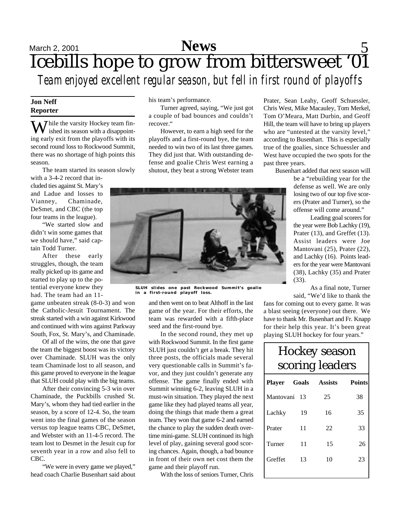## **News** 5 Icebills hope to grow from bittersweet '01 *Team enjoyed excellent regular season, but fell in first round of playoffs*

### **Jon Neff Reporter**

 $\overline{\mathbf{W}}$  hile the varsity Hockey team finished its season with a disappointing early exit from the playoffs with its second round loss to Rockwood Summit, there was no shortage of high points this season.

The team started its season slowly

with a 3-4-2 record that included ties against St. Mary's and Ladue and losses to Vianney, Chaminade, DeSmet, and CBC (the top four teams in the league).

"We started slow and didn't win some games that we should have," said captain Todd Turner.

After these early struggles, though, the team really picked up its game and started to play up to the potential everyone knew they had. The team had an 11-

game unbeaten streak (8-0-3) and won the Catholic-Jesuit Tournament. The streak started with a win against Kirkwood and continued with wins against Parkway South, Fox, St. Mary's, and Chaminade.

Of all of the wins, the one that gave the team the biggest boost was its victory over Chaminade. SLUH was the only team Chaminade lost to all season, and this game proved to everyone in the league that SLUH could play with the big teams.

After their convincing 5-3 win over Chaminade, the Puckbills crushed St. Mary's, whom they had tied earlier in the season, by a score of 12-4. So, the team went into the final games of the season versus top league teams CBC, DeSmet, and Webster with an 11-4-5 record. The team lost to Desmet in the Jesuit cup for seventh year in a row and also fell to CBC.

"We were in every game we played," head coach Charlie Busenhart said about his team's performance.

Turner agreed, saying, "We just got a couple of bad bounces and couldn't recover."

However, to earn a high seed for the playoffs and a first-round bye, the team needed to win two of its last three games. They did just that. With outstanding defense and goalie Chris West earning a shutout, they beat a strong Webster team Prater, Sean Leahy, Geoff Schuessler, Chris West, Mike Macauley, Tom Merkel, Tom O'Meara, Matt Durbin, and Geoff Hill, the team will have to bring up players who are "untested at the varsity level," according to Busenhart. This is especially true of the goalies, since Schuessler and West have occupied the two spots for the past three years.

Busenhart added that next season will

be a "rebuilding year for the defense as well. We are only losing two of our top five scorers (Prater and Turner), so the offense will come around."

Leading goal scorers for the year were Bob Lachky (19), Prater (13), and Greffet (13). Assist leaders were Joe Mantovani (25), Prater (22), and Lachky (16). Points leaders for the year were Mantovani (38), Lachky (35) and Prater (33).

As a final note, Turner said, "We'd like to thank the

fans for coming out to every game. It was a blast seeing (everyone) out there. We have to thank Mr. Busenhart and Fr. Knapp for their help this year. It's been great playing SLUH hockey for four years."

## Hockey season scoring leaders

| Player Goals |      | <b>Assists</b> | <b>Points</b> |
|--------------|------|----------------|---------------|
| Mantovani    | - 13 | 25             | 38            |
| Lachky       | 19   | 16             | 35            |
| Prater       | 11   | 22             | 33            |
| Turner       | 11   | 15             | 26            |
| Greffet      | 13   | 10             | 23            |
|              |      |                |               |



**SLUH slides one past Rockwood Summit's goalie in a first-round playoff loss.**

and then went on to beat Althoff in the last game of the year. For their efforts, the team was rewarded with a fifth-place seed and the first-round bye.

In the second round, they met up with Rockwood Summit. In the first game SLUH just couldn't get a break. They hit three posts, the officials made several very questionable calls in Summit's favor, and they just couldn't generate any offense. The game finally ended with Summit winning 6-2, leaving SLUH in a must-win situation. They played the next game like they had played teams all year, doing the things that made them a great team. They won that game 6-2 and earned the chance to play the sudden death overtime mini-game. SLUH continued its high level of play, gaining several good scoring chances. Again, though, a bad bounce in front of their own net cost them the game and their playoff run.

With the loss of seniors Turner, Chris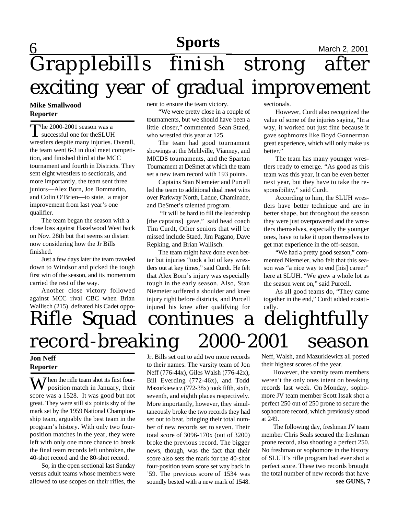## 6 **March 2, 2001**<br>
March 2, 2001 Grapplebills finish strong after exciting year of gradual improvement **Sports**

### **Mike Smallwood Reporter**

The 2000-2001 season was a<br>successful one for the SLUH he 2000-2001 season was a wrestlers despite many injuries. Overall, the team went 6-3 in dual meet competition, and finished third at the MCC tournament and fourth in Districts. They sent eight wrestlers to sectionals, and more importantly, the team sent three juniors—Alex Born, Joe Bommarito, and Colin O'Brien—to state, a major improvement from last year's one qualifier.

The team began the season with a close loss against Hazelwood West back on Nov. 28th but that seems so distant now considering how the Jr Bills finished.

Just a few days later the team traveled down to Windsor and picked the tough first win of the season, and its momentum carried the rest of the way.

Another close victory followed against MCC rival CBC when Brian Wallisch (215) defeated his Cadet opponent to ensure the team victory.

"We were pretty close in a couple of tournaments, but we should have been a little closer," commented Sean Staed, who wrestled this year at 125.

The team had good tournament showings at the Mehlville, Vianney, and MICDS tournaments, and the Spartan Tournament at DeSmet at which the team set a new team record with 193 points.

Captains Stan Niemeier and Purcell led the team to additional dual meet wins over Parkway North, Ladue, Chaminade, and DeSmet's talented program.

 "It will be hard to fill the leadership [the captains] gave," said head coach Tim Curdt, Other seniors that will be missed include Staed, Jim Pagano, Dave Repking, and Brian Wallisch.

The team might have done even better but injuries "took a lot of key wrestlers out at key times," said Curdt. He felt that Alex Born's injury was especially tough in the early season. Also, Stan Niemeier suffered a shoulder and knee injury right before districts, and Purcell injured his knee after qualifying for sectionals.

However, Curdt also recognized the value of some of the injuries saying, "In a way, it worked out just fine because it gave sophmores like Boyd Gonnerman great experience, which will only make us better."

The team has many younger wrestlers ready to emerge. "As good as this team was this year, it can be even better next year, but they have to take the responsibility," said Curdt.

According to him, the SLUH wrestlers have better technique and are in better shape, but throughout the season they were just overpowered and the wrestlers themselves, especially the younger ones, have to take it upon themselves to get mat experience in the off-season.

"We had a pretty good season," commented Niemeier, who felt that this season was "a nice way to end [his] career" here at SLUH. "We grew a whole lot as the season went on," said Purcell.

As all good teams do, "They came together in the end," Curdt added ecstatically.

# Rifle Squad continues a delightfully record-breaking 2000-2001 season

### **Jon Neff Reporter**

When the rifle team shot its first fourposition match in January, their score was a 1528. It was good but not great. They were still six points shy of the mark set by the 1959 National Championship team, arguably the best team in the program's history. With only two fourposition matches in the year, they were left with only one more chance to break the final team records left unbroken, the 40-shot record and the 80-shot record.

So, in the open sectional last Sunday versus adult teams whose members were allowed to use scopes on their rifles, the Jr. Bills set out to add two more records to their names. The varsity team of Jon Neff (776-44x), Giles Walsh (776-42x), Bill Everding (772-46x), and Todd Mazurkiewicz (772-38x) took fifth, sixth, seventh, and eighth places respectively. More importantly, however, they simultaneously broke the two records they had set out to beat, bringing their total number of new records set to seven. Their total score of 3096-170x (out of 3200) broke the previous record. The bigger news, though, was the fact that their score also sets the mark for the 40-shot four-position team score set way back in '59. The previous score of 1534 was soundly bested with a new mark of 1548.

Neff, Walsh, and Mazurkiewicz all posted their highest scores of the year.

However, the varsity team members weren't the only ones intent on breaking records last week. On Monday, sophomore JV team member Scott Issak shot a perfect 250 out of 250 prone to secure the sophomore record, which previously stood at 249.

**see GUNS, 7** The following day, freshman JV team member Chris Seals secured the freshman prone record, also shooting a perfect 250. No freshman or sophomore in the history of SLUH's rifle program had ever shot a perfect score. These two records brought the total number of new records that have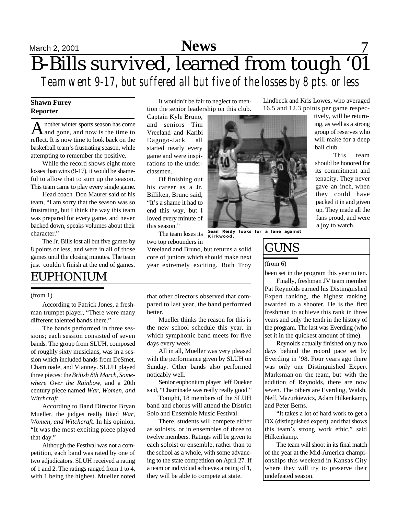## $S_{\text{March 2, 2001}}$  News 7 B-Bills survived, learned from tough '01 *Team went 9-17, but suffered all but five of the losses by 8 pts. or less*

### **Shawn Furey Reporter**

A nother winter sports season has come<br>and gone, and now is the time to nother winter sports season has come reflect. It is now time to look back on the basketball team's frustrating season, while attempting to remember the positive.

While the record shows eight more losses than wins (9-17), it would be shameful to allow that to sum up the season. This team came to play every single game.

Head coach Don Maurer said of his team, "I am sorry that the season was so frustrating, but I think the way this team was prepared for every game, and never backed down, speaks volumes about their character."

The Jr. Bills lost all but five games by 8 points or less, and were in all of those games until the closing minutes. The team just couldn't finish at the end of games.

## EUPHONIUM

### (from 1)

According to Patrick Jones, a freshman trumpet player, "There were many different talented bands there."

The bands performed in three sessions; each session consisted of seven bands. The group from SLUH, composed of roughly sixty musicians, was in a session which included bands from DeSmet, Chaminade, and Vianney. SLUH played three pieces: the *British 8th March*, *Somewhere Over the Rainbow*, and a 20th century piece named *War, Women, and Witchcraft*.

According to Band Director Bryan Mueller, the judges really liked *War, Women, and Witchcraft*. In his opinion, "It was the most exciting piece played that day."

Although the Festival was not a competition, each band was rated by one of two adjudicators. SLUH received a rating of 1 and 2. The ratings ranged from 1 to 4, with 1 being the highest. Mueller noted

It wouldn't be fair to neglect to mention the senior leadership on this club.

Captain Kyle Bruno, and seniors Tim Vreeland and Karibi Dagogo-Jack all started nearly every game and were inspirations to the underclassmen.

Of finishing out his career as a Jr. Billiken, Bruno said, "It's a shame it had to end this way, but I loved every minute of this season."

two top rebounders in

Vreeland and Bruno, but returns a solid core of juniors which should make next year extremely exciting. Both Troy

that other directors observed that compared to last year, the band performed better.

Mueller thinks the reason for this is the new school schedule this year, in which symphonic band meets for five days every week.

All in all, Mueller was very pleased with the performance given by SLUH on Sunday. Other bands also performed noticably well.

Senior euphonium player Jeff Dueker said, "Chaminade was really really good."

Tonight, 18 members of the SLUH band and chorus will attend the District Solo and Ensemble Music Festival.

There, students will compete either as soloists, or in ensembles of three to twelve members. Ratings will be given to each soloist or ensemble, rather than to the school as a whole, with some advancing to the state competition on April 27. If a team or individual achieves a rating of 1, they will be able to compete at state.

Lindbeck and Kris Lowes, who averaged 16.5 and 12.3 points per game respec-

> tively, will be returning, as well as a strong group of reserves who will make for a deep ball club.

This team should be honored for its commitment and tenacity. They never gave an inch, when they could have packed it in and given up. They made all the fans proud, and were a joy to watch.

## GUNS

### (from 6)

been set in the program this year to ten.

Finally, freshman JV team member Pat Reynolds earned his Distinguished Expert ranking, the highest ranking awarded to a shooter. He is the first freshman to achieve this rank in three years and only the tenth in the history of the program. The last was Everding (who set it in the quickest amount of time).

Reynolds actually finished only two days behind the record pace set by Everding in '98. Four years ago there was only one Distinguished Expert Marksman on the team, but with the addition of Reynolds, there are now seven. The others are Everding, Walsh, Neff, Mazurkiewicz, Adam Hilkenkamp, and Peter Berns.

"It takes a lot of hard work to get a DX (distinguished expert), and that shows this team's strong work ethic," said Hilkenkamp.

The team will shoot in its final match of the year at the Mid-America championships this weekend in Kansas City where they will try to preserve their undefeated season.



The team loses its **Sean Reidy looks for a lane against Kirkwood.**